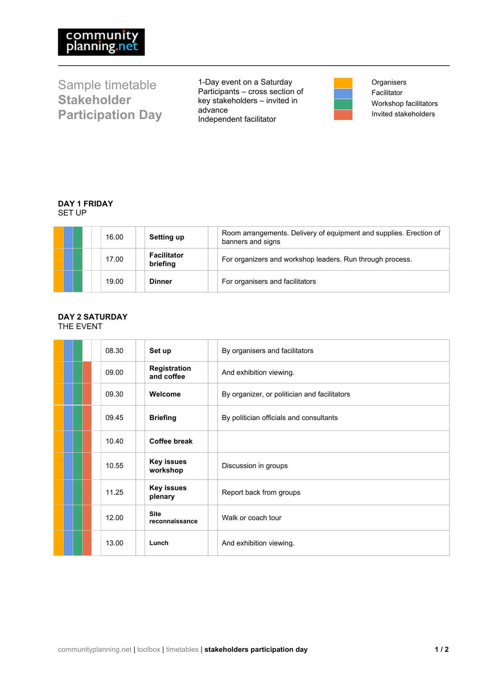Sample timetable **Stakeholder Participation Day** 1-Day event on a Saturday Participants – cross section of key stakeholders – invited in advance Independent facilitator

**Organisers** Facilitator Workshop facilitators Invited stakeholders

## **DAY 1 FRIDAY** SET UP

|  | 16.00 | Setting up                     | Room arrangements. Delivery of equipment and supplies. Erection of<br>banners and signs |
|--|-------|--------------------------------|-----------------------------------------------------------------------------------------|
|  | 17.00 | <b>Facilitator</b><br>briefing | For organizers and workshop leaders. Run through process.                               |
|  | 19.00 | <b>Dinner</b>                  | For organisers and facilitators                                                         |

## **DAY 2 SATURDAY** THE EVENT

| 08.30 | Set up                        | By organisers and facilitators               |
|-------|-------------------------------|----------------------------------------------|
| 09.00 | Registration<br>and coffee    | And exhibition viewing.                      |
| 09.30 | Welcome                       | By organizer, or politician and facilitators |
| 09.45 | <b>Briefing</b>               | By politician officials and consultants      |
| 10.40 | Coffee break                  |                                              |
| 10.55 | <b>Key issues</b><br>workshop | Discussion in groups                         |
| 11.25 | <b>Key issues</b><br>plenary  | Report back from groups                      |
| 12.00 | <b>Site</b><br>reconnaissance | Walk or coach tour                           |
| 13.00 | Lunch                         | And exhibition viewing.                      |